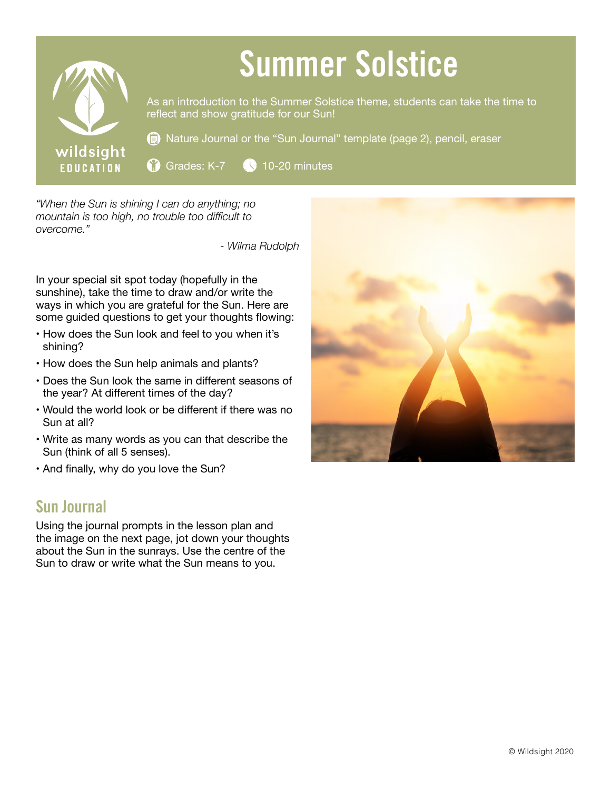

*"When the Sun is shining I can do anything; no mountain is too high, no trouble too difficult to overcome."*

*- Wilma Rudolph*

In your special sit spot today (hopefully in the sunshine), take the time to draw and/or write the ways in which you are grateful for the Sun. Here are some guided questions to get your thoughts flowing:

- How does the Sun look and feel to you when it's shining?
- How does the Sun help animals and plants?
- Does the Sun look the same in different seasons of the year? At different times of the day?
- Would the world look or be different if there was no Sun at all?
- Write as many words as you can that describe the Sun (think of all 5 senses).
- And finally, why do you love the Sun?

## Sun Journal

Using the journal prompts in the lesson plan and the image on the next page, jot down your thoughts about the Sun in the sunrays. Use the centre of the Sun to draw or write what the Sun means to you.